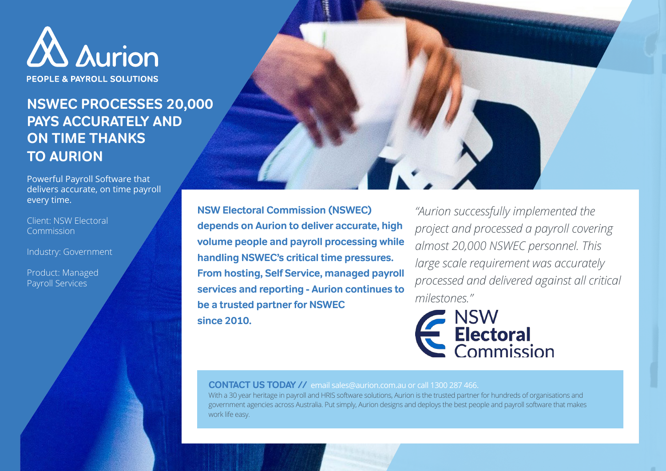

PEOPLE & PAYROLL SOLUTIONS

## **NSWEC PROCESSES 20,000 PAYS ACCURATELY AND ON TIME THANKS TO AURION**

Powerful Payroll Software that delivers accurate, on time payroll every time.

Client: NSW Electoral **Commission** 

Industry: Government

Product: Managed Payroll Services

**NSW Electoral Commission (NSWEC) depends on Aurion to deliver accurate, high volume people and payroll processing while handling NSWEC's critical time pressures. From hosting, Self Service, managed payroll services and reporting - Aurion continues to be a trusted partner for NSWEC since 2010.**

*"Aurion successfully implemented the project and processed a payroll covering almost 20,000 NSWEC personnel. This large scale requirement was accurately processed and delivered against all critical milestones."*



**CONTACT US TODAY //** email sales@aurion.com.au or call 1300 287 466.

With a 30 year heritage in payroll and HRIS software solutions, Aurion is the trusted partner for hundreds of organisations and government agencies across Australia. Put simply, Aurion designs and deploys the best people and payroll software that makes work life easy.